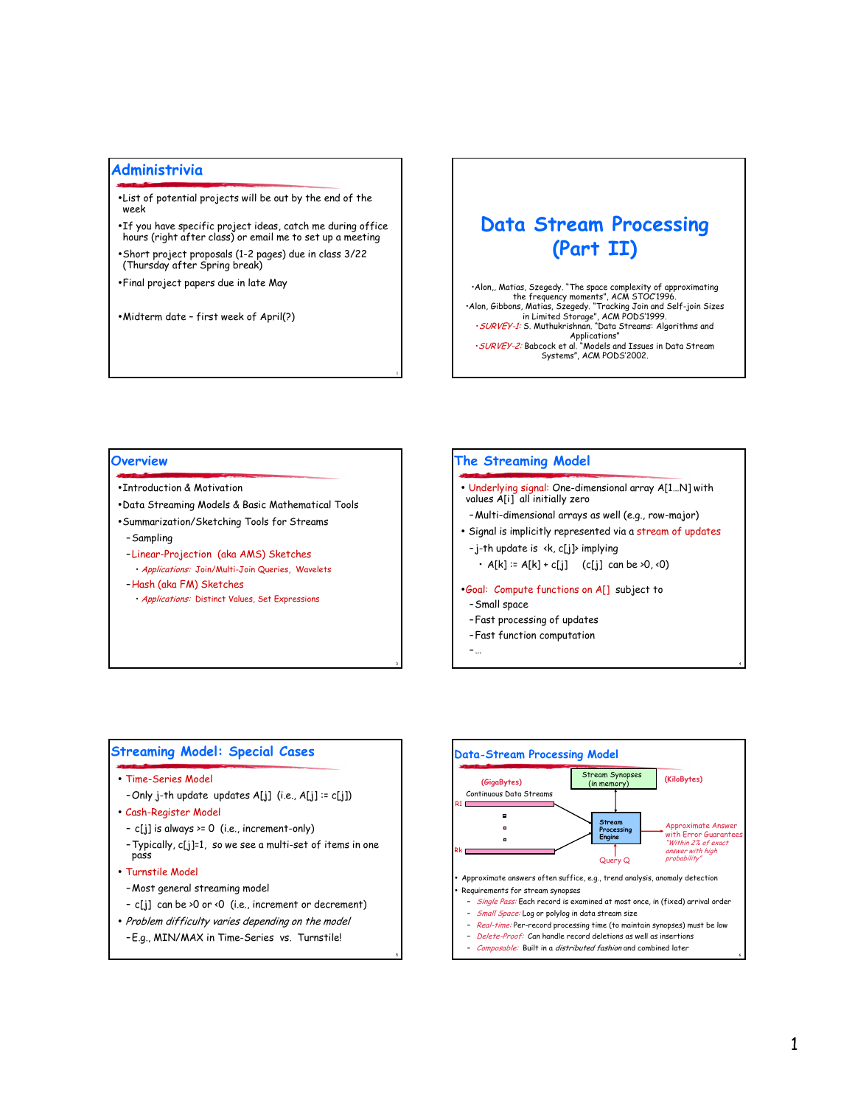# Administrivia

- . List of potential projects will be out by the end of the week
- . If you have specific project ideas, catch me during office hours (right after class) or email me to set up a meeting
- · Short project proposals (1-2 pages) due in class 3/22 (Thursday after Spring break)
- . Final project papers due in late May

• Midterm date - first week of April(?)

# **Data Stream Processing** (Part II)

Alon,, Matias, Szegedy. "The space complexity of approximating<br>the frequency moments", ACM STOC1996. Alon, Gibbons, Matias, Szegedy. "Tracking Join and Self-join Sizes<br>in Limited Storage", ACM PODS'1999.<br>· SURVEY-1: S. Muthukrishnan. "Data Streams: Algorithms and Applications"<br>SURVEY-2: Babcock et al. "Models and Issues in Data Stream<br>Systems", ACM PODS'2002.

#### Overview

- . Introduction & Motivation
- . Data Streaming Models & Basic Mathematical Tools
- · Summarization/Sketching Tools for Streams
- -Sampling
- -Linear-Projection (aka AMS) Sketches · Applications: Join/Multi-Join Queries, Wavelets
- -Hash (aka FM) Sketches
	- · Applications: Distinct Values, Set Expressions

# The Streaming Model

- Underlying signal: One-dimensional array A[1...N] with<br>values A[i] all initially zero
- Multi-dimensional arrays as well (e.g., row-major)
- · Signal is implicitly represented via a stream of updates
- -j-th update is <k, c[j]> implying  $\cdot$  A[k] := A[k] + c[j] (c[j] can be >0, <0)
- .Goal: Compute functions on A[] subject to
- Small space
- Fast processing of updates
- Fast function computation
- $\sim$

# **Streaming Model: Special Cases**

- Time-Series Model
	- -Only j-th update updates A[j] (i.e., A[j] := c[j])
- · Cash-Register Model
- $-c[j]$  is always >= 0 (i.e., increment-only)
- Typically, c[j]=1, so we see a multi-set of items in one pass
- Turnstile Model
- -Most general streaming model
- c[j] can be >0 or <0 (i.e., increment or decrement)
- Problem difficulty varies depending on the model -E.g., MIN/MAX in Time-Series vs. Turnstile!

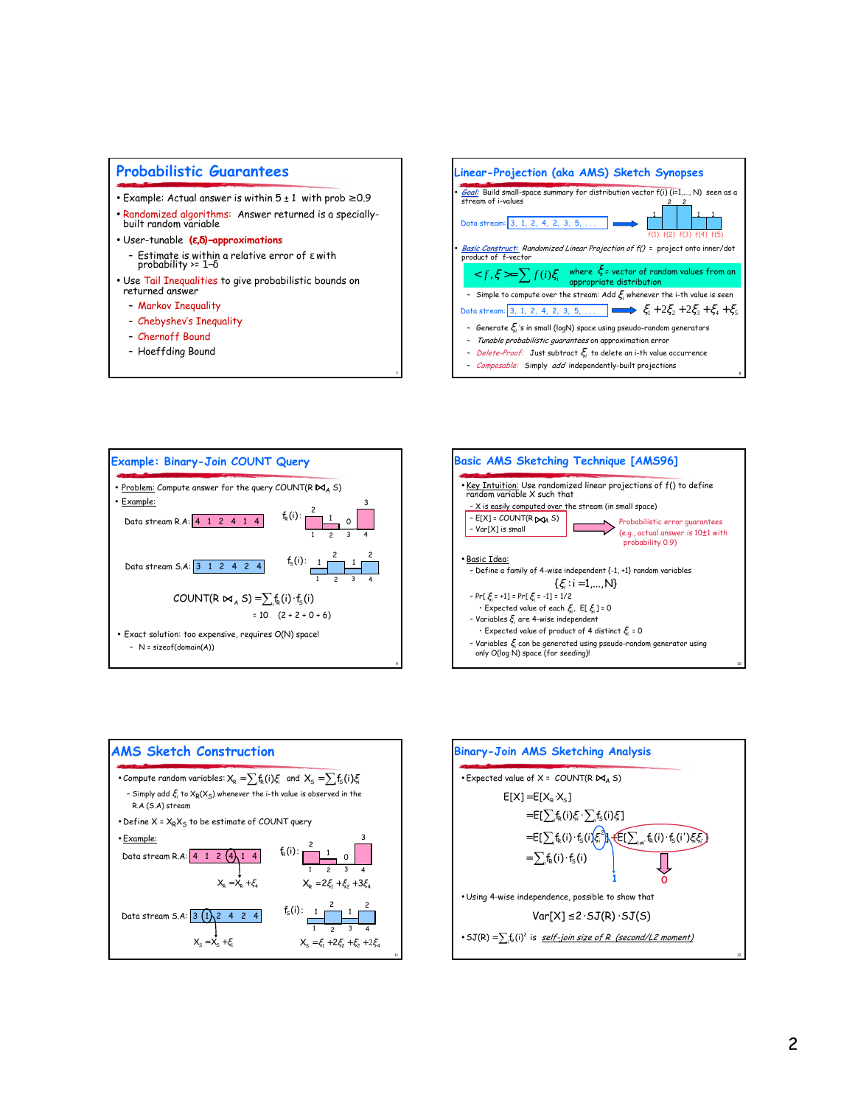### **Probabilistic Guarantees**

- Example: Actual answer is within  $5 \pm 1$  with prob  $\ge 0.9$
- . Randomized algorithms: Answer returned is a speciallybuilt random variable
- · User-tunable (e, δ)-approximations - Estimate is within a relative error of  $\epsilon$  with probability >=  $1-\delta$
- . Use Tail Inequalities to give probabilistic bounds on returned answer
	- Markov Inequality
	- Chebyshev's Inequality
	- Chernoff Bound
	- Hoeffding Bound
		-









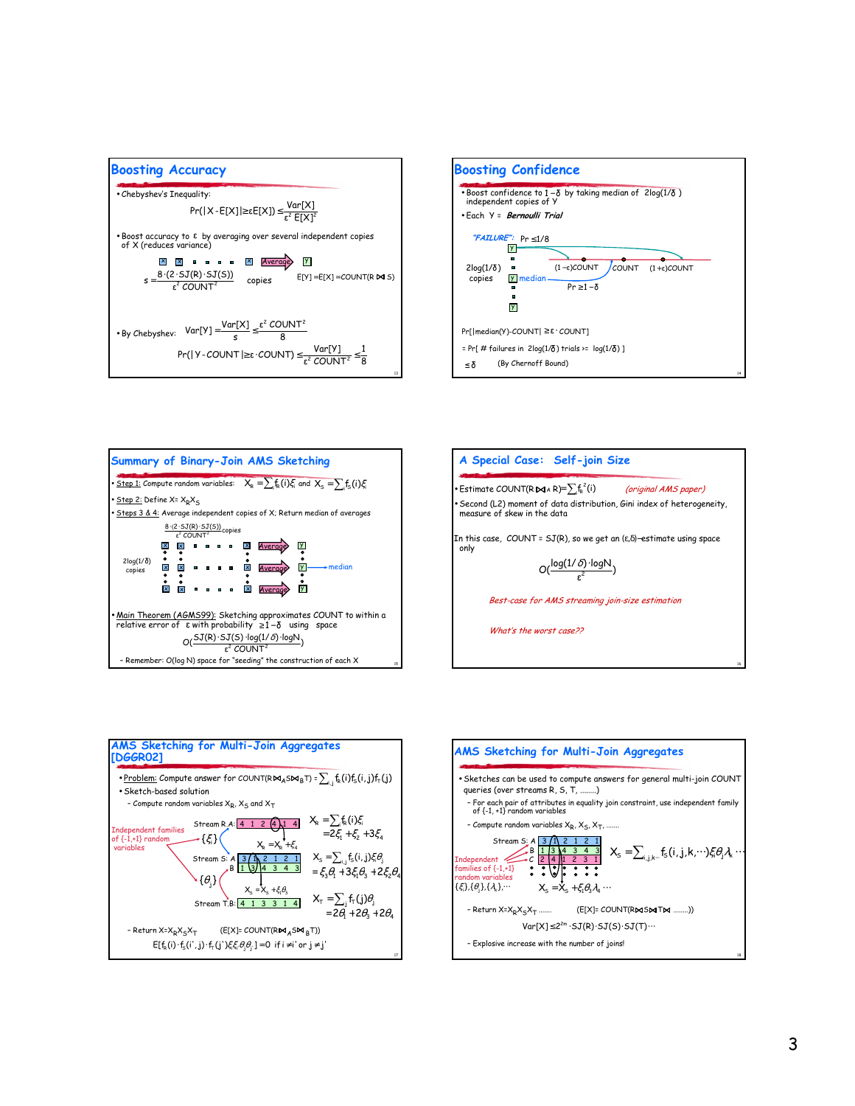









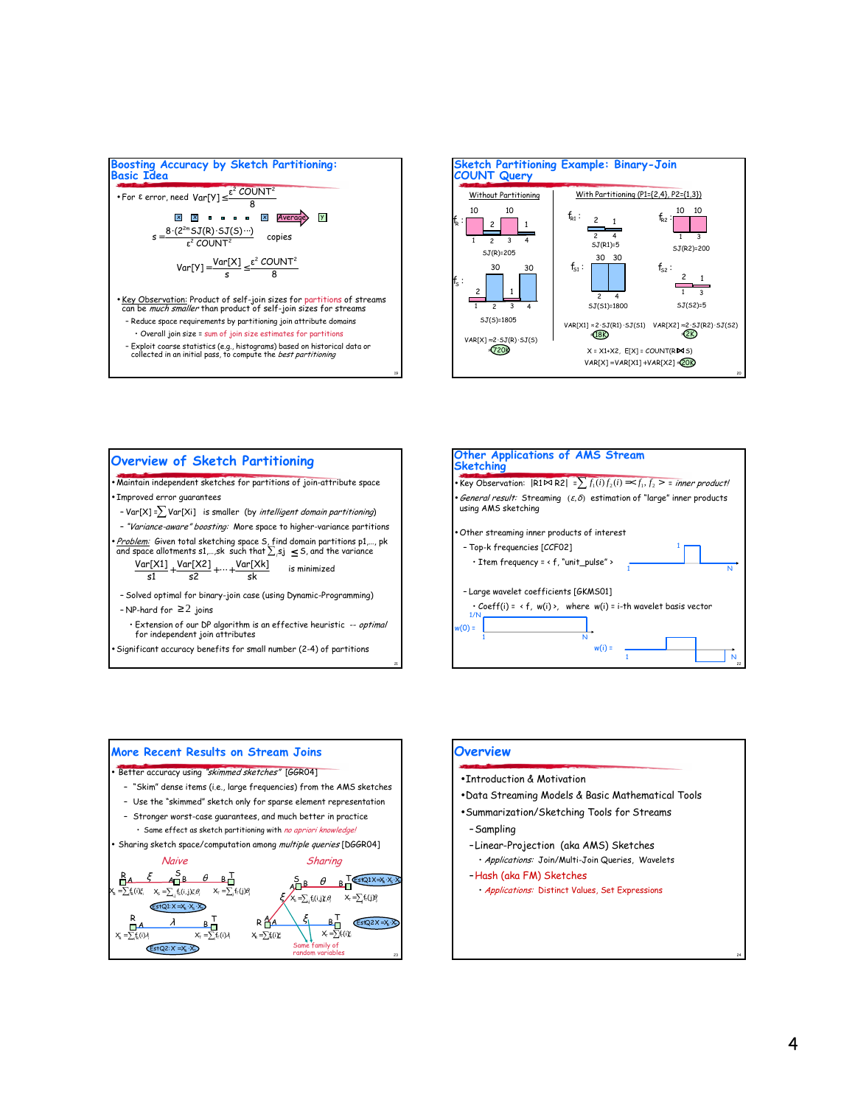



#### Overview of Sketch Partitioning

Maintain independent sketches for partitions of join-attribute space Improved error guarantees

- Var[X] =  $\sum$  Var[Xi] is smaller (by *intelligent domain partitioning*)

- "Variance-aware" boosting: More space to higher-variance partitions

<u>Problem:</u> Given total sketching space S, find domain partitions p1,..., pk and space allotments s1,...,sk such that  $\sum_j s_j \leq s$ , and the variance

 $Var[X1]$  +  $Var[X2]$  + ... +  $Var[Xk]$ is minimized  $c1$  $52$ sk

- Solved optimal for binary-join case (using Dynamic-Programming) - NP-hard for  $\geq 2$  joins

· Extension of our DP algorithm is an effective heuristic -- optimal for independent join attributes

Significant accuracy benefits for small number (2-4) of partitions





#### **Overview**

- Introduction & Motivation
- . Data Streaming Models & Basic Mathematical Tools
- · Summarization/Sketching Tools for Streams
- -Sampling
- -Linear-Projection (aka AMS) Sketches
- · Applications: Join/Multi-Join Queries, Wavelets
- -Hosh (oko FM) Sketches
- · Applications: Distinct Values, Set Expressions